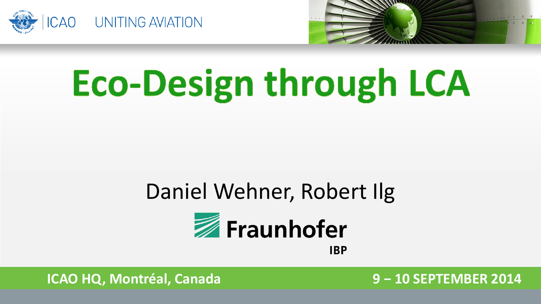



# **Eco-Design through LCA**

#### Daniel Wehner, Robert Ilg



**IBP** 

**ICAO HQ, Montréal, Canada 9 − 10 SEPTEMBER 2014**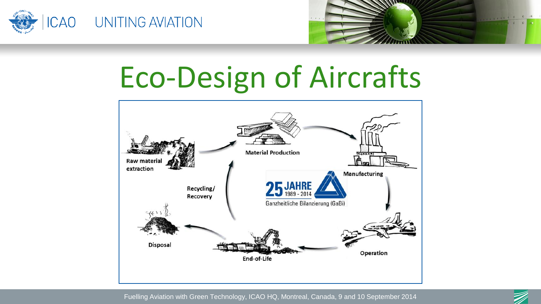



## Eco-Design of Aircrafts



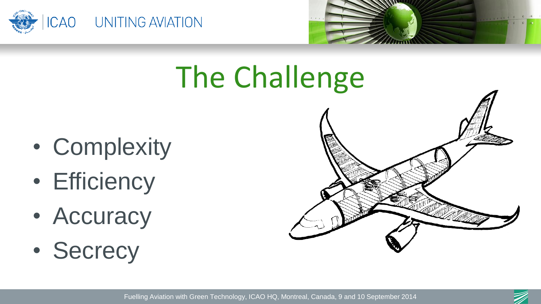



## The Challenge

- Complexity
- Efficiency
- Accuracy
- Secrecy



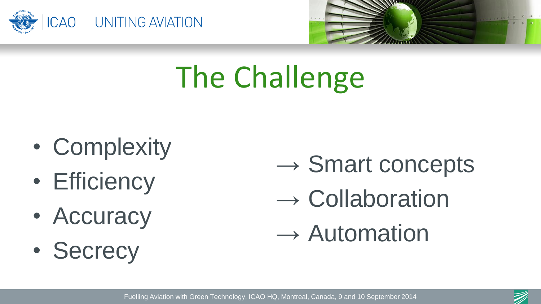



## The Challenge

- Complexity
- Efficiency
- Accuracy
- Secrecy
- $\rightarrow$  Smart concepts
- $\rightarrow$  Collaboration
- $\rightarrow$  Automation

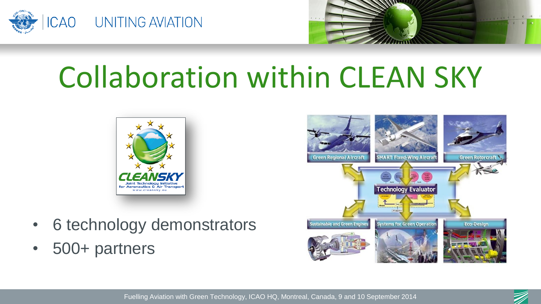



#### Collaboration within CLEAN SKY



- 6 technology demonstrators
- 500+ partners



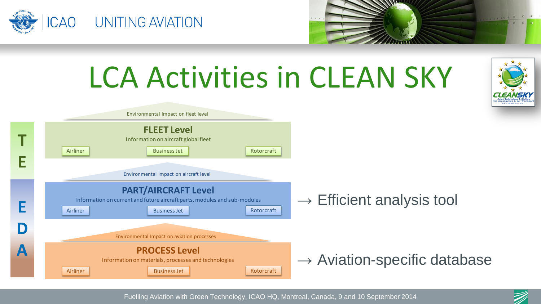





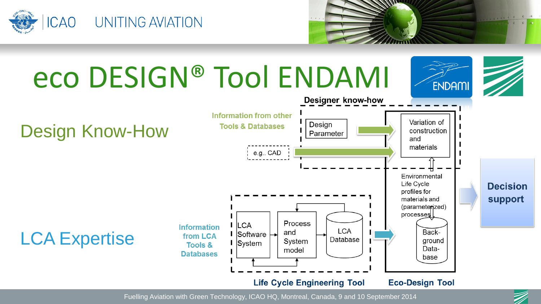



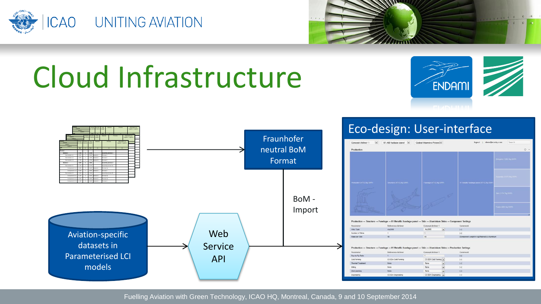



#### Cloud Infrastructure



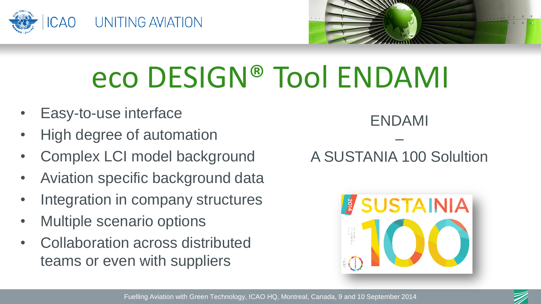



## eco DESIGN® Tool ENDAMI

- Easy-to-use interface
- High degree of automation
- Complex LCI model background
- Aviation specific background data
- Integration in company structures
- Multiple scenario options
- Collaboration across distributed teams or even with suppliers

ENDAMI – A SUSTANIA 100 Solultion